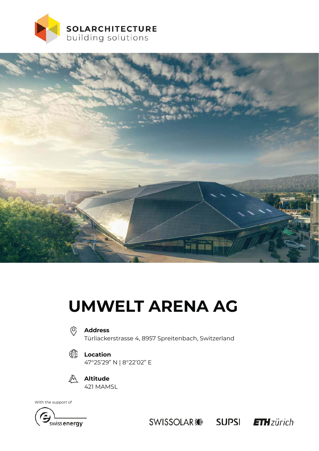



# **UMWELT ARENA AG**



#### **Address**

Türliackerstrasse 4, 8957 Spreitenbach, Switzerland





**Altitude** 421 MAMSL

With the support of



SWISSOLAR : SUPSI FTH zürich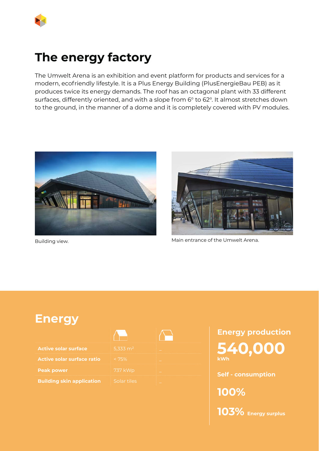

## **The energy factory**

The Umwelt Arena is an exhibition and event platform for products and services for a modern, ecofriendly lifestyle. It is a Plus Energy Building (PlusEnergieBau PEB) as it produces twice its energy demands. The roof has an octagonal plant with 33 different surfaces, differently oriented, and with a slope from 6° to 62°. It almost stretches down to the ground, in the manner of a dome and it is completely covered with PV modules.





Building view. **Main entrance of the Umwelt Arena.** 

### **Energy**

**Active solar surface ratio Peak power Building skin application** 

| 5,333 m <sup>2</sup> |  |
|----------------------|--|
| < 75%                |  |
| <b>737 kWp</b>       |  |
| Solar tiles          |  |

**Energy production 540,000 kWh** 

**Self - consumption**

**100% 103% Energy surplus**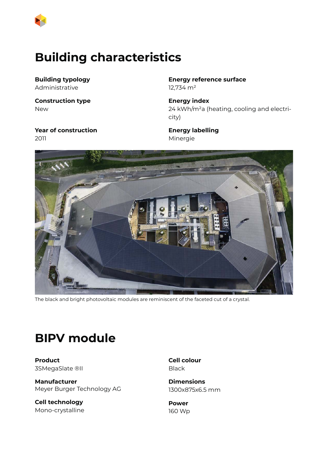

### **Building characteristics**

**Building typology** Administrative

**Construction type** New

**Year of construction** 2011

**Energy reference surface** 12,734 m²

**Energy index** 24 kWh/m²a (heating, cooling and electricity)

**Energy labelling** Minergie



The black and bright photovoltaic modules are reminiscent of the faceted cut of a crystal.

### **BIPV module**

**Product** 3SMegaSlate ®II

**Manufacturer** Meyer Burger Technology AG

**Cell technology** Mono-crystalline **Cell colour** Black

**Dimensions** 1300x875x6.5 mm

**Power** 160 Wp